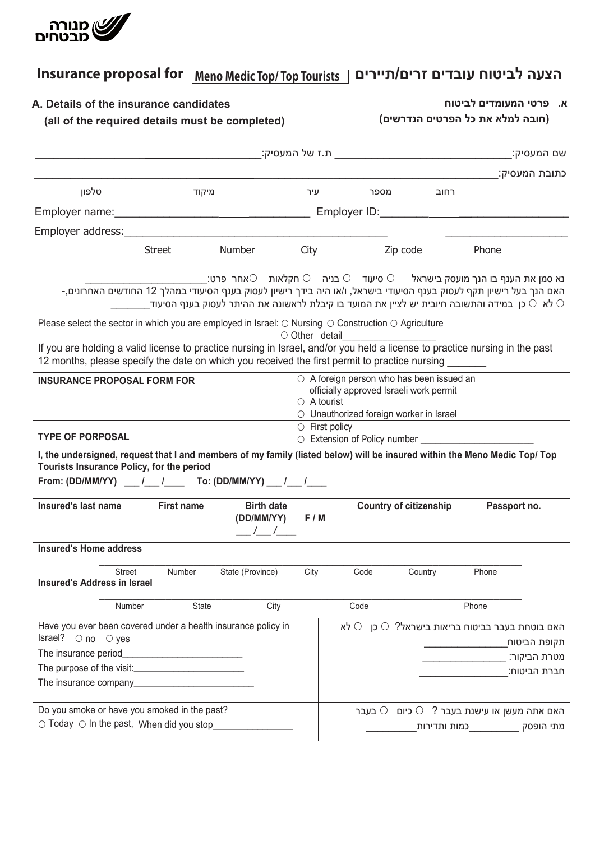

## הצעה לביטוח עובדים זרים/תיירים | Insurance proposal for | Meno Medic Top/Top Tourists  **הצעה לביטוח עובדים זרים/תיירים Tourists Top/ Top Medic Meno for proposal Insurance** Insurance proposal for Meno Medic Top/Top Tourists | הצעה לביטוח עובדים זרים/תיירים

| A. Details of the insurance candidates<br>(all of the required details must be completed)                                                                                                                   |                   |                                                                                                                                                                                                                                                                                                                                                                              |                      | א. פרטי המעומדים לביטוח<br>(חובה למלא את כל הפרטים הנדרשים) |                                                                                |              |               |
|-------------------------------------------------------------------------------------------------------------------------------------------------------------------------------------------------------------|-------------------|------------------------------------------------------------------------------------------------------------------------------------------------------------------------------------------------------------------------------------------------------------------------------------------------------------------------------------------------------------------------------|----------------------|-------------------------------------------------------------|--------------------------------------------------------------------------------|--------------|---------------|
|                                                                                                                                                                                                             |                   |                                                                                                                                                                                                                                                                                                                                                                              |                      |                                                             |                                                                                |              |               |
|                                                                                                                                                                                                             |                   |                                                                                                                                                                                                                                                                                                                                                                              |                      |                                                             |                                                                                |              | כתובת המעסיק: |
| טלפון                                                                                                                                                                                                       |                   | מיקוד                                                                                                                                                                                                                                                                                                                                                                        |                      | מספר עיר                                                    | רחוב                                                                           |              |               |
|                                                                                                                                                                                                             |                   |                                                                                                                                                                                                                                                                                                                                                                              |                      |                                                             |                                                                                |              |               |
|                                                                                                                                                                                                             |                   |                                                                                                                                                                                                                                                                                                                                                                              |                      |                                                             |                                                                                |              |               |
|                                                                                                                                                                                                             |                   | Street Number City Zip code                                                                                                                                                                                                                                                                                                                                                  |                      |                                                             |                                                                                | Phone        |               |
|                                                                                                                                                                                                             |                   | נא סמן את הענף בו הנך מועסק בישראל $\,\circ\,$ סיעוד $\,\circ\, \subset \,$ בניה $\,\circ\, \circ\,$ חקלאות $\,\circ\,$ אחר פרט:<br>- האם הנך בעל רישיון תקף לעסוק בענף הסיעודי בישראל, ו/או היה בידך רישיון לעסוק בענף הסיעודי במהלך 12 החודשים האחרונים,<br>לא $\,\circ$ כן במידה והתשובה חיובית יש לציין את המועד בו קיבלת לראשונה את ההיתר לעסוק בענף הסיעוד $\,\circ\,$ |                      |                                                             |                                                                                |              |               |
| Please select the sector in which you are employed in Israel: O Nursing O Construction O Agriculture                                                                                                        |                   |                                                                                                                                                                                                                                                                                                                                                                              |                      |                                                             |                                                                                |              |               |
| If you are holding a valid license to practice nursing in Israel, and/or you held a license to practice nursing in the past                                                                                 |                   |                                                                                                                                                                                                                                                                                                                                                                              | ○ Other detail       |                                                             |                                                                                |              |               |
| 12 months, please specify the date on which you received the first permit to practice nursing                                                                                                               |                   |                                                                                                                                                                                                                                                                                                                                                                              |                      |                                                             |                                                                                |              |               |
| <b>INSURANCE PROPOSAL FORM FOR</b>                                                                                                                                                                          |                   |                                                                                                                                                                                                                                                                                                                                                                              |                      | ○ A foreign person who has been issued an                   |                                                                                |              |               |
|                                                                                                                                                                                                             |                   |                                                                                                                                                                                                                                                                                                                                                                              | $\circ$ A tourist    | officially approved Israeli work permit                     |                                                                                |              |               |
|                                                                                                                                                                                                             |                   |                                                                                                                                                                                                                                                                                                                                                                              |                      | ○ Unauthorized foreign worker in Israel                     |                                                                                |              |               |
|                                                                                                                                                                                                             |                   |                                                                                                                                                                                                                                                                                                                                                                              |                      |                                                             |                                                                                |              |               |
|                                                                                                                                                                                                             |                   |                                                                                                                                                                                                                                                                                                                                                                              | $\circ$ First policy |                                                             |                                                                                |              |               |
| <b>TYPE OF PORPOSAL</b>                                                                                                                                                                                     |                   |                                                                                                                                                                                                                                                                                                                                                                              |                      | O Extension of Policy number __________________________     |                                                                                |              |               |
| Tourists Insurance Policy, for the period                                                                                                                                                                   |                   |                                                                                                                                                                                                                                                                                                                                                                              |                      |                                                             |                                                                                |              |               |
|                                                                                                                                                                                                             |                   |                                                                                                                                                                                                                                                                                                                                                                              |                      |                                                             |                                                                                |              |               |
|                                                                                                                                                                                                             |                   |                                                                                                                                                                                                                                                                                                                                                                              |                      |                                                             |                                                                                |              |               |
| I, the undersigned, request that I and members of my family (listed below) will be insured within the Meno Medic Top/ Top<br>From: (DD/MM/YY) __ /__ /___ To: (DD/MM/YY) __ /__ /___<br>Insured's last name | <b>First name</b> | <b>Birth date</b><br>(DD/MM/YY) F/M<br>$\frac{1}{1}$                                                                                                                                                                                                                                                                                                                         |                      |                                                             | <b>Country of citizenship</b>                                                  | Passport no. |               |
| <b>Insured's Home address</b>                                                                                                                                                                               |                   |                                                                                                                                                                                                                                                                                                                                                                              |                      |                                                             |                                                                                |              |               |
| <b>Street</b>                                                                                                                                                                                               | Number            | State (Province)                                                                                                                                                                                                                                                                                                                                                             | City                 | Code                                                        | Country                                                                        | Phone        |               |
|                                                                                                                                                                                                             |                   |                                                                                                                                                                                                                                                                                                                                                                              |                      |                                                             |                                                                                |              |               |
|                                                                                                                                                                                                             | Number            | State<br>City                                                                                                                                                                                                                                                                                                                                                                |                      | Code                                                        |                                                                                | Phone        |               |
| <b>Insured's Address in Israel</b><br>Have you ever been covered under a health insurance policy in                                                                                                         |                   |                                                                                                                                                                                                                                                                                                                                                                              |                      |                                                             | האם בוטחת בעבר בביטוח בריאות בישראל? $\circ$ כן $\circ$ לא                     |              |               |
| Israel? $\circ$ no $\circ$ yes                                                                                                                                                                              |                   |                                                                                                                                                                                                                                                                                                                                                                              |                      |                                                             |                                                                                |              | ַתקופת הביטוח |
|                                                                                                                                                                                                             |                   |                                                                                                                                                                                                                                                                                                                                                                              |                      |                                                             |                                                                                |              | מטרת הביקור:  |
|                                                                                                                                                                                                             |                   |                                                                                                                                                                                                                                                                                                                                                                              |                      |                                                             |                                                                                |              | חברת הביטוח:  |
| Do you smoke or have you smoked in the past?                                                                                                                                                                |                   |                                                                                                                                                                                                                                                                                                                                                                              |                      |                                                             | האם אתה מעשן או עישנת בעבר ? $\circlearrowright$ כיום $\circlearrowright$ בעבר |              |               |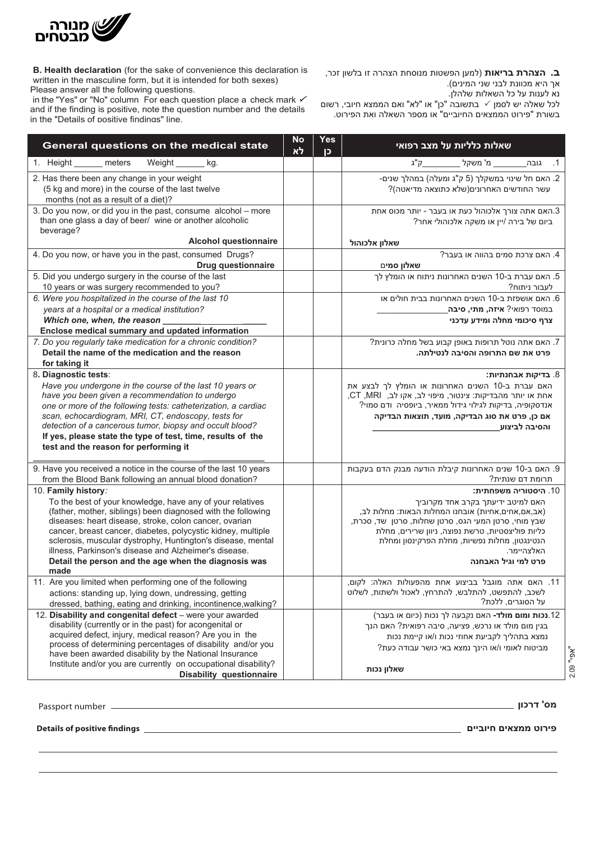

written in the masculine form, but it is intended for both sexes) Please answer all the following questions. **B. Health declaration** (for the sake of convenience this declaration is

אך היא מכוונת לבני שני המינים). **ב. הצהרת בריאות** )למען הפשטות מנוסחת הצהרה זו בלשון זכר,

נא לענות על כל השאלות שלהלן.

in the "Yes" or "No" column For each question place a check mark  $\checkmark$ and if the finding is positive, note the question number and the details in the "Details of positive findings" line. לכל שאלה יש לסמן $\mathcal V$  בתשובה "כן" או "לא" ואם הממצא חיובי, רשום בשורת "פירוט הממצאים החיוביים" או מספר השאלה ואת הפירוט.

| General questions on the medical state                                                                                                                                                                                                                                                                                                                                                                                                                             | <b>No</b><br>Yes<br>לא<br>D | <u>שאלות כלליות על מצב רפואי</u>                                                                                                                                                                                                                                                                                 |
|--------------------------------------------------------------------------------------------------------------------------------------------------------------------------------------------------------------------------------------------------------------------------------------------------------------------------------------------------------------------------------------------------------------------------------------------------------------------|-----------------------------|------------------------------------------------------------------------------------------------------------------------------------------------------------------------------------------------------------------------------------------------------------------------------------------------------------------|
| 1. Height ______ meters<br>Weight<br>kg.                                                                                                                                                                                                                                                                                                                                                                                                                           |                             | ק"ג<br>1. גובה________מ' משקל <u>_</u>                                                                                                                                                                                                                                                                           |
| 2. Has there been any change in your weight<br>(5 kg and more) in the course of the last twelve<br>months (not as a result of a diet)?                                                                                                                                                                                                                                                                                                                             |                             | 2. האם חל שינוי במשקלך (5 ק"ג ומעלה) במהלך שנים-<br>עשר החודשים האחרונים(שלא כתוצאה מדיאטה)?                                                                                                                                                                                                                     |
| 3. Do you now, or did you in the past, consume alcohol - more<br>than one glass a day of beer/ wine or another alcoholic<br>beverage?<br><b>Alcohol questionnaire</b>                                                                                                                                                                                                                                                                                              |                             | 3.האם אתה צורך אלכוהול כעת או בעבר - יותר מכוס אחת<br>ביום של בירה /יין או משקה אלכוהולי אחר?<br>שאלון אלכוהול                                                                                                                                                                                                   |
| 4. Do you now, or have you in the past, consumed Drugs?                                                                                                                                                                                                                                                                                                                                                                                                            |                             | 4. האם צרכת סמים בהווה או בעבר?                                                                                                                                                                                                                                                                                  |
| <b>Drug questionnaire</b>                                                                                                                                                                                                                                                                                                                                                                                                                                          |                             | שאלון סמים                                                                                                                                                                                                                                                                                                       |
| 5. Did you undergo surgery in the course of the last<br>10 years or was surgery recommended to you?<br>6. Were you hospitalized in the course of the last 10                                                                                                                                                                                                                                                                                                       |                             | 5. האם עברת ב-10 השנים האחרונות ניתוח או הומלץ לך<br>לעבור ניתוח?<br>6. האם אושפזת ב-10 השנים האחרונות בבית חולים או                                                                                                                                                                                             |
| years at a hospital or a medical institution?                                                                                                                                                                                                                                                                                                                                                                                                                      |                             | במוסד רפואי? <b>איזה, מתי, סיבה</b> _                                                                                                                                                                                                                                                                            |
| Which one, when, the reason                                                                                                                                                                                                                                                                                                                                                                                                                                        |                             | צרף סיכומי מחלה ומידע עדכני                                                                                                                                                                                                                                                                                      |
| Enclose medical summary and updated information<br>7. Do you regularly take medication for a chronic condition?<br>Detail the name of the medication and the reason<br>for taking it                                                                                                                                                                                                                                                                               |                             | 7. האם אתה נוטל תרופות באופן קבוע בשל מחלה כרונית?<br>פרט את שם התרופה והסיבה לנטילתה.                                                                                                                                                                                                                           |
| 8. Diagnostic tests:<br>Have you undergone in the course of the last 10 years or<br>have you been given a recommendation to undergo<br>one or more of the following tests: catheterization, a cardiac<br>scan, echocardiogram, MRI, CT, endoscopy, tests for<br>detection of a cancerous tumor, biopsy and occult blood?<br>If yes, please state the type of test, time, results of the<br>test and the reason for performing it                                   |                             | 8. בדיקות אבחנתיות:<br>האם עברת ב-10 השנים האחרונות או הומלץ לך לבצע את<br>אחת או יותר מהבדיקות: צינטור, מיפוי לב, אקו לב, CT,MRI,<br>אנדסקופיה, בדיקות לגילוי גידול ממאיר, ביופסיה ודם סמוי?<br>אם כן, פרט את סוג הבדיקה, מועד, תוצאות הבדיקה<br>והסיבה לביצוע                                                  |
| 9. Have you received a notice in the course of the last 10 years                                                                                                                                                                                                                                                                                                                                                                                                   |                             | 9. האם ב-10 שנים האחרונות קיבלת הודעה מבנק הדם בעקבות                                                                                                                                                                                                                                                            |
| from the Blood Bank following an annual blood donation?                                                                                                                                                                                                                                                                                                                                                                                                            |                             | תרומת דם שנתית?                                                                                                                                                                                                                                                                                                  |
| 10. Family history:<br>To the best of your knowledge, have any of your relatives<br>(father, mother, siblings) been diagnosed with the following<br>diseases: heart disease, stroke, colon cancer, ovarian<br>cancer, breast cancer, diabetes, polycystic kidney, multiple<br>sclerosis, muscular dystrophy, Huntington's disease, mental<br>illness, Parkinson's disease and Alzheimer's disease.<br>Detail the person and the age when the diagnosis was<br>made |                             | 10. היסטוריה משפחתית:<br>האם למיטב ידיעתך בקרב אחד מקרוביך<br>(אב,אם,אחים,אחיות) אובחנו המחלות הבאות: מחלות לב,<br>שבץ מוחי, סרטן המעי הגס, סרטן שחלות, סרטן שד, סכרת,<br>כליות פוליצסטיות, טרשת נפוצה, ניוון שרירים, מחלת<br>הנטינגטון, מחלות נפשיות, מחלת הפרקינסון ומחלת<br>האלצהיימר.<br>פרט למי וגיל האבחנה |
| 11. Are you limited when performing one of the following<br>actions: standing up, lying down, undressing, getting<br>dressed, bathing, eating and drinking, incontinence, walking?                                                                                                                                                                                                                                                                                 |                             | 11. האם אתה מוגבל בביצוע אחת מהפעולות האלה: לקום,<br>לשכב, להתפשט, להתלבש, להתרחץ, לאכול ולשתות, לשלוט<br>על הסוגרים, ללכת?                                                                                                                                                                                      |
| 12. Disability and congenital defect - were your awarded<br>disability (currently or in the past) for acongenital or<br>acquired defect, injury, medical reason? Are you in the<br>process of determining percentages of disability and/or you<br>have been awarded disability by the National Insurance<br>Institute and/or you are currently on occupational disability?<br><b>Disability questionnaire</b>                                                      |                             | 12.נכות ומום מולד- האם נקבעה לך נכות (כיום או בעבר)<br>בגין מום מולד או נרכש, פציעה, סיבה רפואית? האם הנך<br>נמצא בתהליך לקביעת אחוזי נכות ו/או קיימת נכות<br>מביטוח לאומי ו/או הינך נמצא באי כושר עבודה כעת?<br>שאלון נכות                                                                                      |

 $\mathcal{L}_\mathcal{L} = \mathcal{L}_\mathcal{L} = \mathcal{L}_\mathcal{L} = \mathcal{L}_\mathcal{L} = \mathcal{L}_\mathcal{L} = \mathcal{L}_\mathcal{L} = \mathcal{L}_\mathcal{L} = \mathcal{L}_\mathcal{L} = \mathcal{L}_\mathcal{L} = \mathcal{L}_\mathcal{L} = \mathcal{L}_\mathcal{L} = \mathcal{L}_\mathcal{L} = \mathcal{L}_\mathcal{L} = \mathcal{L}_\mathcal{L} = \mathcal{L}_\mathcal{L} = \mathcal{L}_\mathcal{L} = \mathcal{L}_\mathcal{L}$ 

**מס' דרכון\_\_\_\_\_\_\_\_ \_\_\_\_\_\_\_\_\_\_\_\_\_\_\_\_.no Passport** number Passport **מס' דרכון\_\_\_\_\_\_\_\_ \_\_\_\_\_\_\_\_\_\_\_\_\_\_\_\_.no Passport מס' דרכון**

"אפי" 2.09

**פירוט ממצאים חיובים \_\_\_\_\_\_\_\_\_\_\_\_\_\_ \_\_\_\_\_\_\_\_\_\_\_\_\_\_\_\_\_\_\_\_\_\_\_\_\_\_\_\_\_\_\_\_findings positive of Details פירוט ממצאים חיובים \_\_\_\_\_\_\_\_\_\_\_\_\_\_ \_\_\_\_\_\_\_\_\_\_\_\_\_\_\_\_\_\_\_\_\_\_\_\_\_\_\_\_\_\_\_\_findings positive of Details findings positive of Details**

**פירוט ממצאים חיוביים**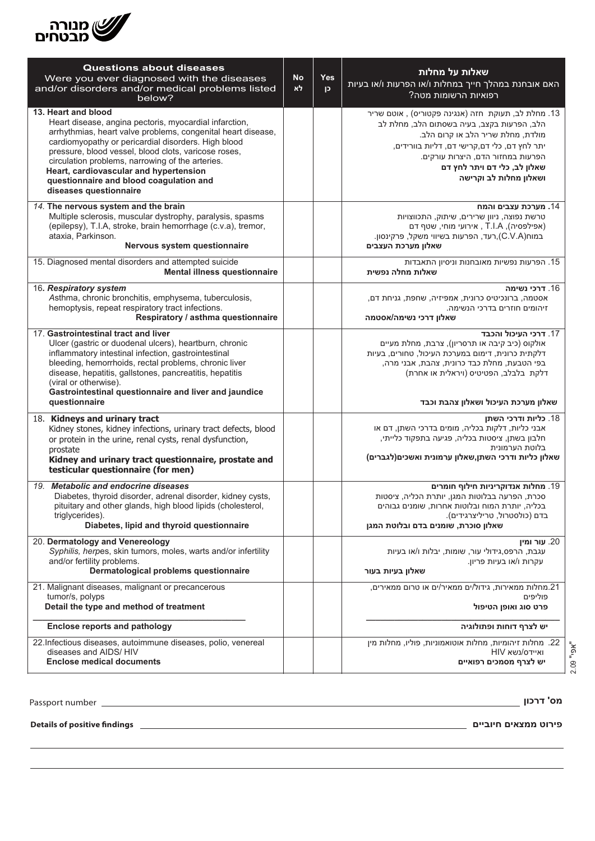

| <b>Questions about diseases</b><br>Were you ever diagnosed with the diseases<br>and/or disorders and/or medical problems listed<br>below?                                                                                                                                                                                                                                                                                       | <b>No</b><br>לא | Yes<br>$\mathsf{P}$ | שאלות על מחלות<br>האם אובחנת במהלך חייך במחלות ו/או הפרעות ו/או בעיות<br>רפואיות הרשומות מטה?                                                                                                                                                                                         |
|---------------------------------------------------------------------------------------------------------------------------------------------------------------------------------------------------------------------------------------------------------------------------------------------------------------------------------------------------------------------------------------------------------------------------------|-----------------|---------------------|---------------------------------------------------------------------------------------------------------------------------------------------------------------------------------------------------------------------------------------------------------------------------------------|
| 13. Heart and blood<br>Heart disease, angina pectoris, myocardial infarction,<br>arrhythmias, heart valve problems, congenital heart disease,<br>cardiomyopathy or pericardial disorders. High blood<br>pressure, blood vessel, blood clots, varicose roses,<br>circulation problems, narrowing of the arteries.<br>Heart, cardiovascular and hypertension<br>questionnaire and blood coagulation and<br>diseases questionnaire |                 |                     | 13. מחלת לב, תעוקת חזה (אנגינה פקטוריס) , אוטם שריר<br>הלב, הפרעות בקצב, בעיה בשסתום הלב, מחלת לב<br>מולדת, מחלת שריר הלב או קרום הלב.<br>יתר לחץ דם, כלי דם,קרישי דם, דליות בוורידים,<br>הפרעות במחזור הדם, היצרות עורקים.<br>שאלון לב, כלי דם ויתר לחץ דם<br>ושאלון מחלות לב וקרישה |
| 14. The nervous system and the brain<br>Multiple sclerosis, muscular dystrophy, paralysis, spasms<br>(epilepsy), T.I.A, stroke, brain hemorrhage (c.v.a), tremor,<br>ataxia, Parkinson.<br>Nervous system questionnaire                                                                                                                                                                                                         |                 |                     | 14. מערכת עצבים והמח<br>טרשת נפוצה, ניוון שרירים, שיתוק, התכווצויות<br>(אפילפסיה), T.I.A , אירועי מוחי, שטף דם<br>במוח(C.V.A),רעד, הפרעות בשיווי משקל, פרקינסון.<br>שאלון מערכת העצבים                                                                                                |
| 15. Diagnosed mental disorders and attempted suicide<br>Mental illness questionnaire                                                                                                                                                                                                                                                                                                                                            |                 |                     | 15. הפרעות נפשיות מאובחנות וניסיון התאבדות<br>שאלות מחלה נפשית                                                                                                                                                                                                                        |
| 16. Respiratory system<br>Asthma, chronic bronchitis, emphysema, tuberculosis,<br>hemoptysis, repeat respiratory tract infections.<br>Respiratory / asthma questionnaire                                                                                                                                                                                                                                                        |                 |                     | 16. דרכי נשימה<br>אסטמה, ברונכיטיס כרונית, אמפיזיה, שחפת, גניחת דם,<br>זיהומים חוזרים בדרכי הנשימה.<br>שאלון דרכי נשימה/אסטמה                                                                                                                                                         |
| 17. Gastrointestinal tract and liver<br>Ulcer (gastric or duodenal ulcers), heartburn, chronic<br>inflammatory intestinal infection, gastrointestinal<br>bleeding, hemorrhoids, rectal problems, chronic liver<br>disease, hepatitis, gallstones, pancreatitis, hepatitis<br>(viral or otherwise).<br>Gastrointestinal questionnaire and liver and jaundice<br>questionnaire                                                    |                 |                     | 17. דרכי העיכול והכבד<br>אולקוס (כיב קיבה או תרסריון), צרבת, מחלת מעיים<br>דלקתית כרונית, דימום במערכת העיכול, טחורים, בעיות<br>בפי הטבעת, מחלת כבד כרונית, צהבת, אבני מרה,<br>דלקת בלבלב, הפטיטיס (ויראלית או אחרת)<br>שאלון מערכת העיכול ושאלון צהבת וכבד                           |
| 18. Kidneys and urinary tract<br>Kidney stones, kidney infections, urinary tract defects, blood<br>or protein in the urine, renal cysts, renal dysfunction,<br>prostate<br>Kidney and urinary tract questionnaire, prostate and<br>testicular questionnaire (for men)                                                                                                                                                           |                 |                     | 18. כליות ודרכי השתן<br>אבני כליות, דלקות בכליה, מומים בדרכי השתן, דם או<br>חלבון בשתן, ציסטות בכליה, פגיעה בתפקוד כלייתי,<br>בלוטת הערמונית<br>שאלון כליות ודרכי השתן,שאלון ערמונית ואשכים(לגברים)                                                                                   |
| 19. Metabolic and endocrine diseases<br>Diabetes, thyroid disorder, adrenal disorder, kidney cysts,<br>pituitary and other glands, high blood lipids (cholesterol,<br>triglycerides).<br>Diabetes, lipid and thyroid questionnaire                                                                                                                                                                                              |                 |                     | 19. מחלות אנדוקריניות חילוף חומרים<br>סכרת, הפרעה בבלוטות המגן, יותרת הכליה, ציסטות<br>בכליה, יותרת המוח ובלוטות אחרות, שומנים גבוהים<br>בדם (כולסטרול, טריליצרגידים).<br>שאלון סוכרת, שומנים בדם ובלוטת המגן                                                                         |
| 20. Dermatology and Venereology<br>Syphilis, herpes, skin tumors, moles, warts and/or infertility<br>and/or fertility problems.<br>Dermatological problems questionnaire                                                                                                                                                                                                                                                        |                 |                     | עור ומין .20<br>עגבת, הרפס,גידולי עור, שומות, יבלות ו/או בעיות<br>עקרות ו/או בעיות פריון.<br>שאלון בעיות בעור                                                                                                                                                                         |
| 21. Malignant diseases, malignant or precancerous<br>tumor/s, polyps<br>Detail the type and method of treatment                                                                                                                                                                                                                                                                                                                 |                 |                     | 21.מחלות ממאירות, גידול/ים ממאיר/ים או טרום ממאירים,<br>פוליפיח<br>פרט סוג ואופן הטיפול                                                                                                                                                                                               |
| <b>Enclose reports and pathology</b>                                                                                                                                                                                                                                                                                                                                                                                            |                 |                     | יש לצרף דוחות ופתולוגיה                                                                                                                                                                                                                                                               |
| 22. Infectious diseases, autoimmune diseases, polio, venereal<br>diseases and AIDS/ HIV<br><b>Enclose medical documents</b>                                                                                                                                                                                                                                                                                                     |                 |                     | 22. מחלות זיהומיות, מחלות אוטואמוניות, פוליו, מחלות מין<br>HIV ואיידס/נשא<br>יש לצרף מסמכים רפואיים                                                                                                                                                                                   |

Passport number

 $r = 1$  **שאלון דרכון אומטילוגיות וויינגיות וויינגיות וויינגיות וויינגיות וויינגיות וויינגיות וויינגיות וויינגיות וויינגי**<br>מס' **דרכון** 

**questionnaire spine and back and questionnaire findings positive of Details**

.number diopter ,disturbances visual ,disease cornea ,disease

or recurrent ear -**) throat /ear /nose (Otolaryngology**25**.**

**פירוט ממצאים חיוביים**

מחלת קרנית, הפרעות ראייה, מס' דיופטר.

.25 **אף אוזן גרון**- דלקות גרון או אוזניים חוזרות, סינוסיטיס,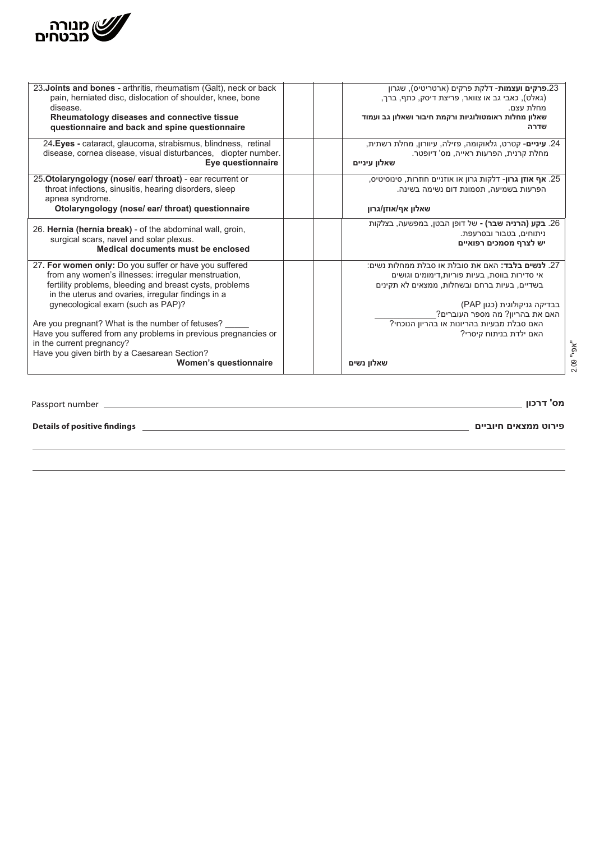

| 23. Joints and bones - arthritis, rheumatism (Galt), neck or back                                                                                                                                                                                                                                                                                                                                                      | 23 <b>.פרקים ועצמות</b> - דלקת פרקים (ארטריטיס), שגרון                                                                                                                                                                                                                                              |
|------------------------------------------------------------------------------------------------------------------------------------------------------------------------------------------------------------------------------------------------------------------------------------------------------------------------------------------------------------------------------------------------------------------------|-----------------------------------------------------------------------------------------------------------------------------------------------------------------------------------------------------------------------------------------------------------------------------------------------------|
| pain, herniated disc, dislocation of shoulder, knee, bone                                                                                                                                                                                                                                                                                                                                                              | (גאלט), כאבי גב או צוואר, פריצת דיסק, כתף, ברך,                                                                                                                                                                                                                                                     |
| disease.                                                                                                                                                                                                                                                                                                                                                                                                               | מחלת עצם.                                                                                                                                                                                                                                                                                           |
| Rheumatology diseases and connective tissue                                                                                                                                                                                                                                                                                                                                                                            | שאלון מחלות ראומטולוגיות ורקמת חיבור ושאלון גב ועמוד                                                                                                                                                                                                                                                |
| questionnaire and back and spine questionnaire                                                                                                                                                                                                                                                                                                                                                                         | שדרה                                                                                                                                                                                                                                                                                                |
| 24. Eyes - cataract, glaucoma, strabismus, blindness, retinal                                                                                                                                                                                                                                                                                                                                                          | .24. <b>עיניים</b> - קטרט, גלאוקומה, פזילה, עיוורון, מחלת רשתית,                                                                                                                                                                                                                                    |
| disease, cornea disease, visual disturbances, diopter number.                                                                                                                                                                                                                                                                                                                                                          | מחלת קרנית, הפרעות ראייה, מס' דיופטר.                                                                                                                                                                                                                                                               |
| Eye questionnaire                                                                                                                                                                                                                                                                                                                                                                                                      | שאלון עיניים                                                                                                                                                                                                                                                                                        |
| 25. Otolaryngology (nose/ear/throat) - ear recurrent or<br>throat infections, sinusitis, hearing disorders, sleep<br>apnea syndrome.<br>Otolaryngology (nose/ear/throat) questionnaire                                                                                                                                                                                                                                 | 25. <b>אף אוזן גרון</b> - דלקות גרון או אוזניים חוזרות, סינוסיטיס,<br>הפרעות בשמיעה, תסמונת דום נשימה בשינה.<br>שאלון אף/אוזן/גרון                                                                                                                                                                  |
| 26. Hernia (hernia break) - of the abdominal wall, groin,                                                                                                                                                                                                                                                                                                                                                              | 26. <b>בקע (הרניה שבר) -</b> של דופן הבטן, במפשעה, בצלקות                                                                                                                                                                                                                                           |
| surgical scars, navel and solar plexus.                                                                                                                                                                                                                                                                                                                                                                                | ניתוחים, בטבור ובסרעפת.                                                                                                                                                                                                                                                                             |
| Medical documents must be enclosed                                                                                                                                                                                                                                                                                                                                                                                     | יש לצרף מסמכים רפואיים                                                                                                                                                                                                                                                                              |
| 27. For women only: Do you suffer or have you suffered<br>from any women's illnesses: irregular menstruation,<br>fertility problems, bleeding and breast cysts, problems<br>in the uterus and ovaries, irregular findings in a<br>gynecological exam (such as PAP)?<br>Are you pregnant? What is the number of fetuses?<br>Have you suffered from any problems in previous pregnancies or<br>in the current pregnancy? | 27. <b>לנשים בלבד:</b> האם את סובלת או סבלת ממחלות נשים:<br>אי סדירות בווסת, בעיות פוריות,דימומים וגושים<br>בשדיים, בעיות ברחם ובשחלות, ממצאים לא תקינים<br>בבדיקה גניקולוגית (כגון PAP)<br>האם את בהריון? מה מספר העוברים?<br>האם סבלת מבעיות בהריונות או בהריון הנוכחי?<br>האם ילדת בניתוח קיסרי? |
| Have you given birth by a Caesarean Section?<br>Women's questionnaire                                                                                                                                                                                                                                                                                                                                                  | שאלון נשים                                                                                                                                                                                                                                                                                          |

"אפי" 2.09

1

7

**מס' דרכון\_\_\_\_\_\_\_\_\_\_\_\_\_\_\_\_\_\_\_\_\_\_\_\_.no Passport** number Passport **מס' דרכון**

**Details of positive findings** \_

**\_\_\_\_\_\_\_\_\_\_\_\_\_\_\_\_\_\_\_\_\_\_\_\_\_\_\_\_\_\_\_\_\_\_\_\_\_\_\_\_\_\_\_\_\_\_\_\_\_\_\_\_\_\_\_\_\_\_\_\_\_\_\_\_\_\_\_\_\_\_\_\_\_\_\_\_\_\_\_\_\_\_\_\_\_\_\_\_\_\_\_\_ פירוט ממצאים חיוביים**